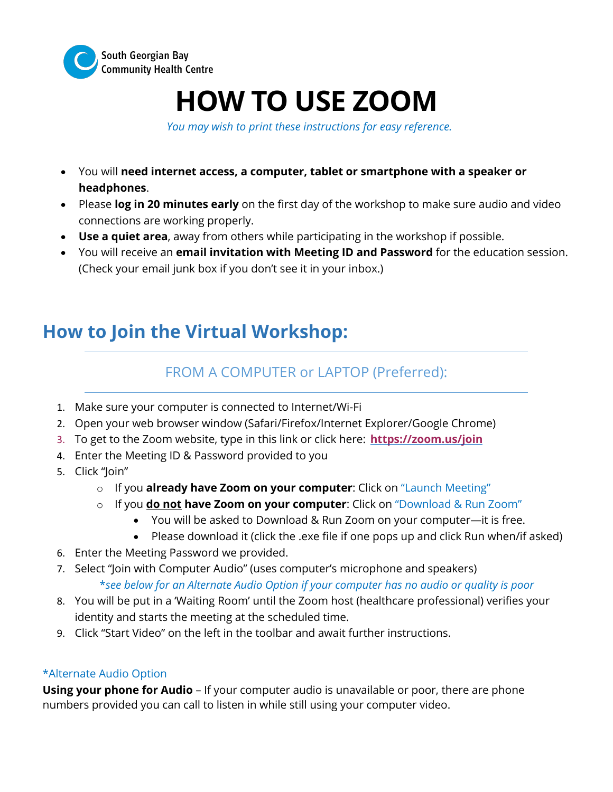

# **HOW TO USE ZOOM**

*You may wish to print these instructions for easy reference.*

- You will **need internet access, a computer, tablet or smartphone with a speaker or headphones**.
- Please **log in 20 minutes early** on the first day of the workshop to make sure audio and video connections are working properly.
- **Use a quiet area**, away from others while participating in the workshop if possible.
- You will receive an **email invitation with Meeting ID and Password** for the education session. (Check your email junk box if you don't see it in your inbox.)

## **How to Join the Virtual Workshop:**

### FROM A COMPUTER or LAPTOP (Preferred):

- 1. Make sure your computer is connected to Internet/Wi-Fi
- 2. Open your web browser window (Safari/Firefox/Internet Explorer/Google Chrome)
- 3. To get to the Zoom website, type in this link or click here: **https://zoom.us/join**
- 4. Enter the Meeting ID & Password provided to you
- 5. Click "Join"
	- o If you **already have Zoom on your computer**: Click on "Launch Meeting"
	- o If you **do not have Zoom on your computer**: Click on "Download & Run Zoom"
		- You will be asked to Download & Run Zoom on your computer—it is free.
		- Please download it (click the .exe file if one pops up and click Run when/if asked)
- 6. Enter the Meeting Password we provided.
- 7. Select "Join with Computer Audio" (uses computer's microphone and speakers) \**see below for an Alternate Audio Option if your computer has no audio or quality is poor*
- 8. You will be put in a 'Waiting Room' until the Zoom host (healthcare professional) verifies your identity and starts the meeting at the scheduled time.
- 9. Click "Start Video" on the left in the toolbar and await further instructions.

#### \*Alternate Audio Option

**Using your phone for Audio** – If your computer audio is unavailable or poor, there are phone numbers provided you can call to listen in while still using your computer video.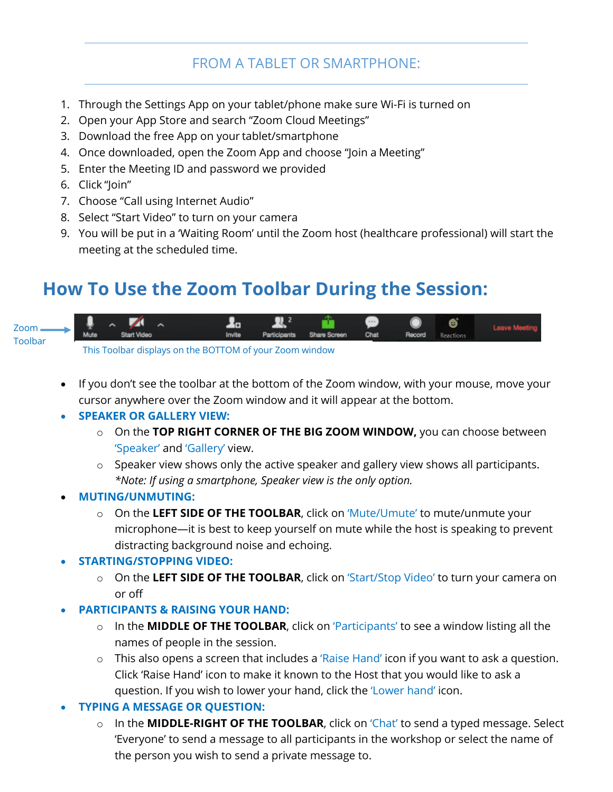### FROM A TABLET OR SMARTPHONE:

- 1. Through the Settings App on your tablet/phone make sure Wi-Fi is turned on
- 2. Open your App Store and search "Zoom Cloud Meetings"
- 3. Download the free App on your tablet/smartphone
- 4. Once downloaded, open the Zoom App and choose "Join a Meeting"
- 5. Enter the Meeting ID and password we provided
- 6. Click "Join"
- 7. Choose "Call using Internet Audio"
- 8. Select "Start Video" to turn on your camera
- 9. You will be put in a 'Waiting Room' until the Zoom host (healthcare professional) will start the meeting at the scheduled time.

### **How To Use the Zoom Toolbar During the Session:**



This Toolbar displays on the BOTTOM of your Zoom window

• If you don't see the toolbar at the bottom of the Zoom window, with your mouse, move your cursor anywhere over the Zoom window and it will appear at the bottom.

#### • **SPEAKER OR GALLERY VIEW:**

- o On the **TOP RIGHT CORNER OF THE BIG ZOOM WINDOW,** you can choose between 'Speaker' and 'Gallery' view.
- $\circ$  Speaker view shows only the active speaker and gallery view shows all participants. *\*Note: If using a smartphone, Speaker view is the only option.*
- **MUTING/UNMUTING:** 
	- o On the **LEFT SIDE OF THE TOOLBAR**, click on 'Mute/Umute' to mute/unmute your microphone—it is best to keep yourself on mute while the host is speaking to prevent distracting background noise and echoing.

#### • **STARTING/STOPPING VIDEO:**

- o On the **LEFT SIDE OF THE TOOLBAR**, click on 'Start/Stop Video' to turn your camera on or off
- **PARTICIPANTS & RAISING YOUR HAND:**
	- o In the **MIDDLE OF THE TOOLBAR**, click on 'Participants' to see a window listing all the names of people in the session.
	- $\circ$  This also opens a screen that includes a 'Raise Hand' icon if you want to ask a question. Click 'Raise Hand' icon to make it known to the Host that you would like to ask a question. If you wish to lower your hand, click the 'Lower hand' icon.
- **TYPING A MESSAGE OR QUESTION:** 
	- In the **MIDDLE-RIGHT OF THE TOOLBAR**, click on 'Chat' to send a typed message. Select 'Everyone' to send a message to all participants in the workshop or select the name of the person you wish to send a private message to.